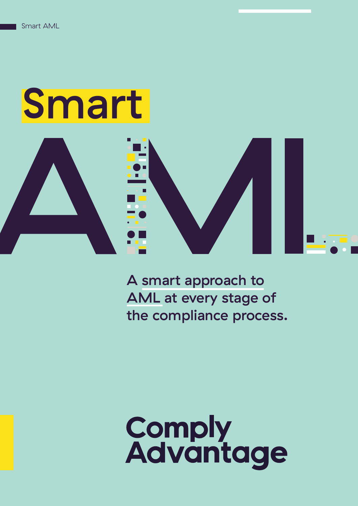# Smart





A smart approach to AML at every stage of the compliance process.

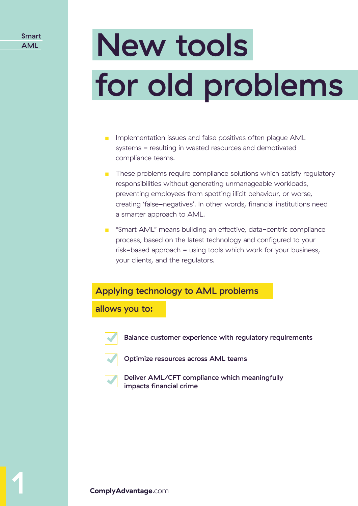# for old problems New tools

- Implementation issues and false positives often plague AML systems - resulting in wasted resources and demotivated compliance teams.
- These problems require compliance solutions which satisfy regulatory responsibilities without generating unmanageable workloads, preventing employees from spotting illicit behaviour, or worse, creating 'false-negatives'. In other words, financial institutions need a smarter approach to AML.
- "Smart AML" means building an effective, data-centric compliance process, based on the latest technology and configured to your risk-based approach - using tools which work for your business, your clients, and the regulators.

#### Applying technology to AML problems

allows you to:



Balance customer experience with regulatory requirements



- Optimize resources across AML teams
- 

Deliver AML/CFT compliance which meaningfully impacts financial crime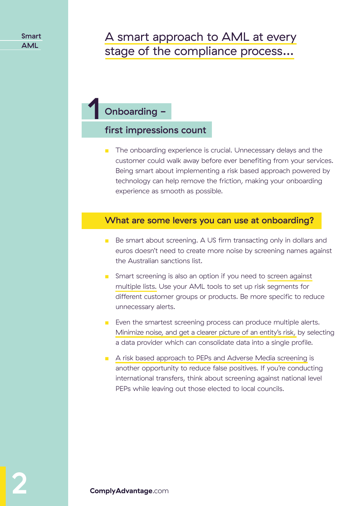### A smart approach to AML at every stage of the compliance process…

## Onboarding - 1

#### first impressions count

■ The onboarding experience is crucial. Unnecessary delays and the customer could walk away before ever benefiting from your services. Being smart about implementing a risk based approach powered by technology can help remove the friction, making your onboarding experience as smooth as possible.

#### What are some levers you can use at onboarding?

- Be smart about screening. A US firm transacting only in dollars and euros doesn't need to create more noise by screening names against the Australian sanctions list.
- Smart screening is also an option if you need to screen against multiple lists. Use your AML tools to set up risk segments for different customer groups or products. Be more specific to reduce unnecessary alerts.
- Even the smartest screening process can produce multiple alerts. Minimize noise, and get a clearer picture of an entity's risk, by selecting a data provider which can consolidate data into a single profile.
- A risk based approach to PEPs and Adverse Media screening is another opportunity to reduce false positives. If you're conducting international transfers, think about screening against national level PEPs while leaving out those elected to local councils.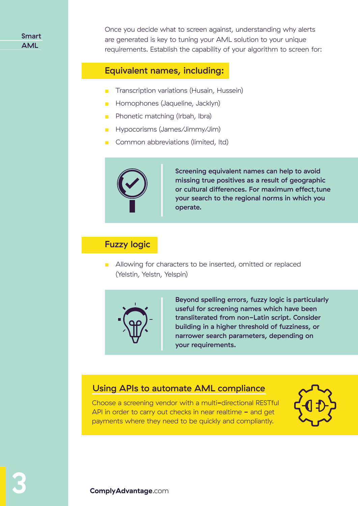Once you decide what to screen against, understanding why alerts are generated is key to tuning your AML solution to your unique requirements. Establish the capability of your algorithm to screen for:

#### Equivalent names, including:

- Transcription variations (Husain, Hussein)
- Homophones (Jaqueline, Jacklyn)
- Phonetic matching (Irbah, Ibra)
- Hypocorisms (James/Jimmy/Jim)
- Common abbreviations (limited, ltd)



Screening equivalent names can help to avoid missing true positives as a result of geographic or cultural differences. For maximum effect,tune your search to the regional norms in which you operate.

#### Fuzzy logic

■ Allowing for characters to be inserted, omitted or replaced (Yelstin, Yelstn, Yelspin)



Beyond spelling errors, fuzzy logic is particularly useful for screening names which have been transliterated from non-Latin script. Consider building in a higher threshold of fuzziness, or narrower search parameters, depending on your requirements.

#### Using APIs to automate AML compliance

Choose a screening vendor with a multi-directional RESTful API in order to carry out checks in near realtime  $-$  and get payments where they need to be quickly and compliantly.

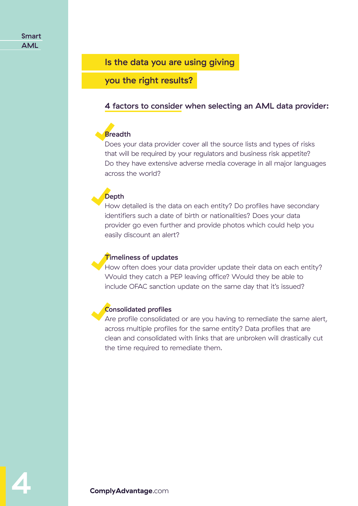#### Is the data you are using giving

you the right results?

#### 4 factors to consider when selecting an AML data provider:

#### **Breadth**

Does your data provider cover all the source lists and types of risks that will be required by your regulators and business risk appetite? Do they have extensive adverse media coverage in all major languages across the world?

#### **Depth**

How detailed is the data on each entity? Do profiles have secondary identifiers such a date of birth or nationalities? Does your data provider go even further and provide photos which could help you easily discount an alert?

#### **Timeliness of updates**

How often does your data provider update their data on each entity? Would they catch a PEP leaving office? Would they be able to include OFAC sanction update on the same day that it's issued?

#### Consolidated profiles

Are profile consolidated or are you having to remediate the same alert, across multiple profiles for the same entity? Data profiles that are clean and consolidated with links that are unbroken will drastically cut the time required to remediate them.

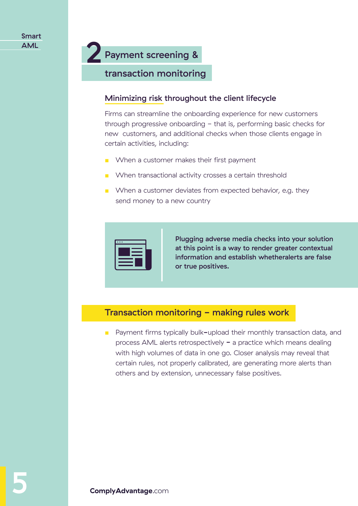## Payment screening & 2

#### transaction monitoring

#### Minimizing risk throughout the client lifecycle

Firms can streamline the onboarding experience for new customers through progressive onboarding - that is, performing basic checks for new customers, and additional checks when those clients engage in certain activities, including:

- When a customer makes their first payment
- When transactional activity crosses a certain threshold
- When a customer deviates from expected behavior, e.g. they send money to a new country

| ٠ |  |  |
|---|--|--|
|   |  |  |
|   |  |  |
|   |  |  |
|   |  |  |

Plugging adverse media checks into your solution at this point is a way to render greater contextual information and establish whetheralerts are false or true positives.

#### Transaction monitoring - making rules work

■ Payment firms typically bulk-upload their monthly transaction data, and process AML alerts retrospectively  $-$  a practice which means dealing with high volumes of data in one go. Closer analysis may reveal that certain rules, not properly calibrated, are generating more alerts than others and by extension, unnecessary false positives.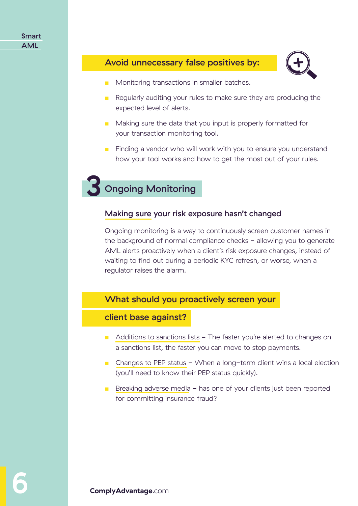#### Smart AML

#### Avoid unnecessary false positives by:



- Monitoring transactions in smaller batches.
- Regularly auditing your rules to make sure they are producing the expected level of alerts.
- Making sure the data that you input is properly formatted for your transaction monitoring tool.
- Finding a vendor who will work with you to ensure you understand how your tool works and how to get the most out of your rules.

## **Ongoing Monitoring**

#### Making sure your risk exposure hasn't changed

Ongoing monitoring is a way to continuously screen customer names in the background of normal compliance checks - allowing you to generate AML alerts proactively when a client's risk exposure changes, instead of waiting to find out during a periodic KYC refresh, or worse, when a regulator raises the alarm.

#### What should you proactively screen your

#### client base against?

- Additions to sanctions lists The faster you're alerted to changes on a sanctions list, the faster you can move to stop payments.
- Changes to PEP status When a long-term client wins a local election (you'll need to know their PEP status quickly).
- Breaking adverse media has one of your clients just been reported for committing insurance fraud?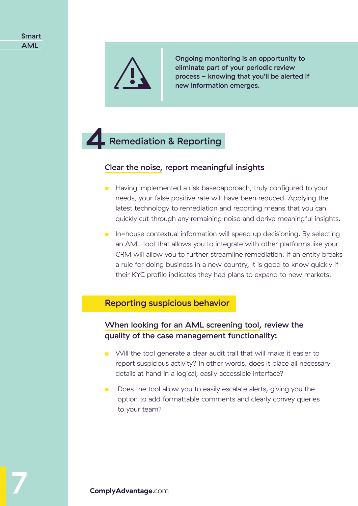

Ongoing monitoring is an opportunity to eliminate part of your periodic review process - knowing that you'll be alerted if new information emerges.

## 4 Remediation & Reporting

#### Clear the noise, report meaningful insights

- Having implemented a risk basedapproach, truly configured to your needs, your false positive rate will have been reduced. Applying the latest technology to remediation and reporting means that you can quickly cut through any remaining noise and derive meaningful insights.
- In-house contextual information will speed up decisioning. By selecting an AML tool that allows you to integrate with other platforms like your CRM will allow you to further streamline remediation. If an entity breaks a rule for doing business in a new country, it is good to know quickly if their KYC profile indicates they had plans to expand to new markets.

#### Reporting suspicious behavior

#### When looking for an AML screening tool, review the quality of the case management functionality:

- Will the tool generate a clear audit trail that will make it easier to report suspicious activity? In other words, does it place all necessary details at hand in a logical, easily accessible interface?
- Does the tool allow you to easily escalate alerts, giving you the option to add formattable comments and clearly convey queries to your team?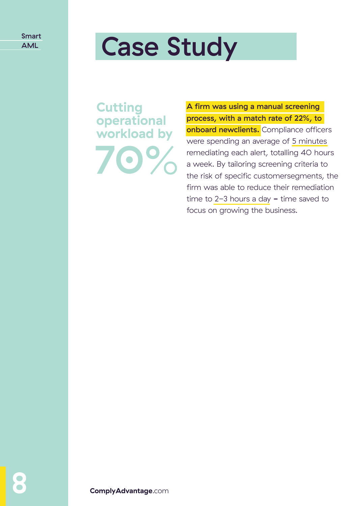# AML **Case Study**

**Cutting operational workload by** 70

A firm was using a manual screening process, with a match rate of 22%, to onboard newclients. Compliance officers were spending an average of 5 minutes remediating each alert, totalling 40 hours a week. By tailoring screening criteria to the risk of specific customersegments, the firm was able to reduce their remediation time to  $2-3$  hours a day  $-$  time saved to focus on growing the business.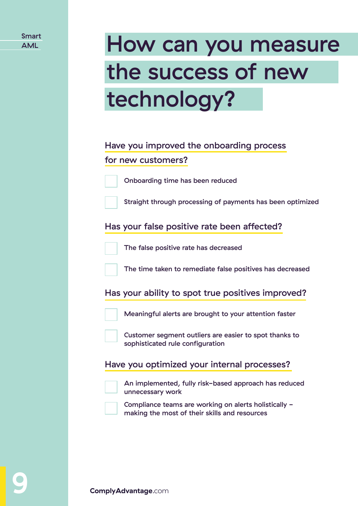| <b>Smart</b> |
|--------------|
| <b>AML</b>   |

# How can you measure the success of new technology?

#### Have you improved the onboarding process for new customers?



Onboarding time has been reduced

Straight through processing of payments has been optimized

Has your false positive rate been affected?



The false positive rate has decreased

The time taken to remediate false positives has decreased

Has your ability to spot true positives improved?



Meaningful alerts are brought to your attention faster

Customer segment outliers are easier to spot thanks to sophisticated rule configuration

Have you optimized your internal processes?



An implemented, fully risk-based approach has reduced unnecessary work



Compliance teams are working on alerts holistically making the most of their skills and resources